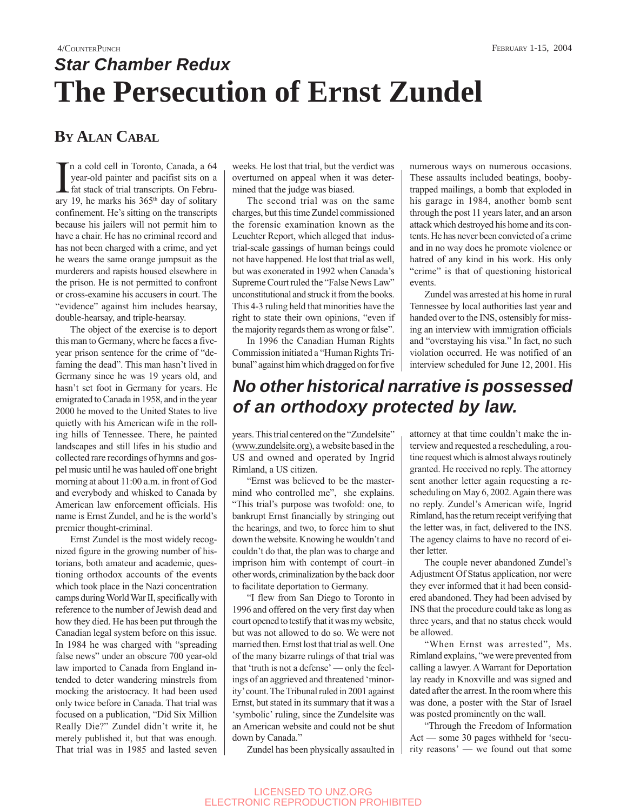# 4/COUNTERPUNCH FEBRUARY 1-15, 2004 **Star Chamber Redux The Persecution of Ernst Zundel**

## **BY ALAN CABAL**

In a cold cell in Toronto, Canada, a 64<br>year-old painter and pacifist sits on a<br>fat stack of trial transcripts. On Febru-<br>ary 19, he marks his 365<sup>th</sup> day of solitary n a cold cell in Toronto, Canada, a 64 year-old painter and pacifist sits on a fat stack of trial transcripts. On Februconfinement. He's sitting on the transcripts because his jailers will not permit him to have a chair. He has no criminal record and has not been charged with a crime, and yet he wears the same orange jumpsuit as the murderers and rapists housed elsewhere in the prison. He is not permitted to confront or cross-examine his accusers in court. The "evidence" against him includes hearsay, double-hearsay, and triple-hearsay.

The object of the exercise is to deport this man to Germany, where he faces a fiveyear prison sentence for the crime of "defaming the dead". This man hasn't lived in Germany since he was 19 years old, and hasn't set foot in Germany for years. He emigrated to Canada in 1958, and in the year 2000 he moved to the United States to live quietly with his American wife in the rolling hills of Tennessee. There, he painted landscapes and still lifes in his studio and collected rare recordings of hymns and gospel music until he was hauled off one bright morning at about 11:00 a.m. in front of God and everybody and whisked to Canada by American law enforcement officials. His name is Ernst Zundel, and he is the world's premier thought-criminal.

Ernst Zundel is the most widely recognized figure in the growing number of historians, both amateur and academic, questioning orthodox accounts of the events which took place in the Nazi concentration camps during World War II, specifically with reference to the number of Jewish dead and how they died. He has been put through the Canadian legal system before on this issue. In 1984 he was charged with "spreading false news" under an obscure 700 year-old law imported to Canada from England intended to deter wandering minstrels from mocking the aristocracy. It had been used only twice before in Canada. That trial was focused on a publication, "Did Six Million Really Die?" Zundel didn't write it, he merely published it, but that was enough. That trial was in 1985 and lasted seven weeks. He lost that trial, but the verdict was overturned on appeal when it was determined that the judge was biased.

The second trial was on the same charges, but this time Zundel commissioned the forensic examination known as the Leuchter Report, which alleged that industrial-scale gassings of human beings could not have happened. He lost that trial as well, but was exonerated in 1992 when Canada's Supreme Court ruled the "False News Law" unconstitutional and struck it from the books. This 4-3 ruling held that minorities have the right to state their own opinions, "even if the majority regards them as wrong or false".

In 1996 the Canadian Human Rights Commission initiated a "Human Rights Tribunal" against him which dragged on for five These assaults included beatings, boobytrapped mailings, a bomb that exploded in his garage in 1984, another bomb sent through the post 11 years later, and an arson attack which destroyed his home and its contents. He has never been convicted of a crime and in no way does he promote violence or hatred of any kind in his work. His only "crime" is that of questioning historical events.

numerous ways on numerous occasions.

Zundel was arrested at his home in rural Tennessee by local authorities last year and handed over to the INS, ostensibly for missing an interview with immigration officials and "overstaying his visa." In fact, no such violation occurred. He was notified of an interview scheduled for June 12, 2001. His

# **No other historical narrative is possessed of an orthodoxy protected by law.**

years. This trial centered on the "Zundelsite" (www.zundelsite.org), a website based in the US and owned and operated by Ingrid Rimland, a US citizen.

"Ernst was believed to be the mastermind who controlled me", she explains. "This trial's purpose was twofold: one, to bankrupt Ernst financially by stringing out the hearings, and two, to force him to shut down the website. Knowing he wouldn't and couldn't do that, the plan was to charge and imprison him with contempt of court–in other words, criminalization by the back door to facilitate deportation to Germany.

"I flew from San Diego to Toronto in 1996 and offered on the very first day when court opened to testify that it was my website, but was not allowed to do so. We were not married then. Ernst lost that trial as well. One of the many bizarre rulings of that trial was that 'truth is not a defense' — only the feelings of an aggrieved and threatened 'minority' count. The Tribunal ruled in 2001 against Ernst, but stated in its summary that it was a 'symbolic' ruling, since the Zundelsite was an American website and could not be shut down by Canada."

Zundel has been physically assaulted in

attorney at that time couldn't make the interview and requested a rescheduling, a routine request which is almost always routinely granted. He received no reply. The attorney sent another letter again requesting a rescheduling on May 6, 2002. Again there was no reply. Zundel's American wife, Ingrid Rimland, has the return receipt verifying that the letter was, in fact, delivered to the INS. The agency claims to have no record of either letter.

The couple never abandoned Zundel's Adjustment Of Status application, nor were they ever informed that it had been considered abandoned. They had been advised by INS that the procedure could take as long as three years, and that no status check would be allowed.

"When Ernst was arrested", Ms. Rimland explains, "we were prevented from calling a lawyer. A Warrant for Deportation lay ready in Knoxville and was signed and dated after the arrest. In the room where this was done, a poster with the Star of Israel was posted prominently on the wall.

"Through the Freedom of Information Act — some 30 pages withheld for 'security reasons' — we found out that some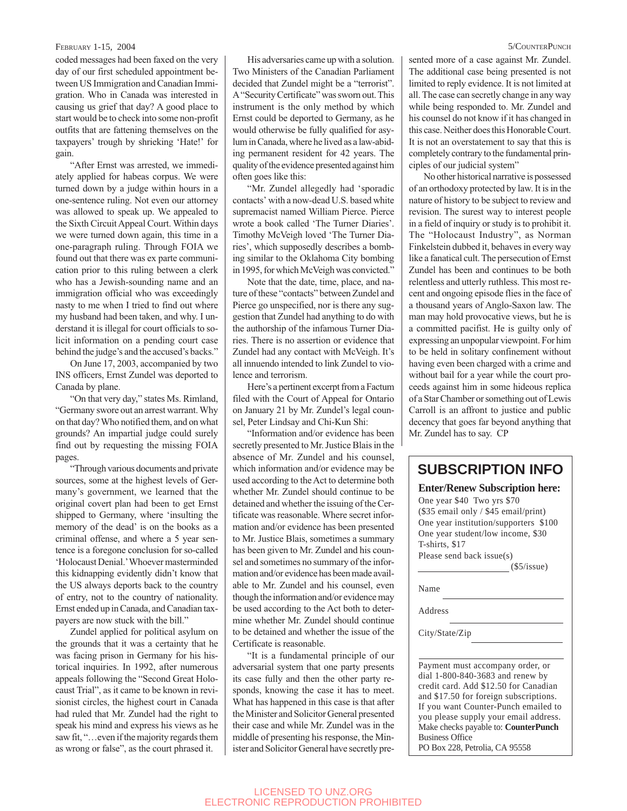### FEBRUARY 1-15, 2004 5/COUNTERPUNCH

coded messages had been faxed on the very day of our first scheduled appointment between US Immigration and Canadian Immigration. Who in Canada was interested in causing us grief that day? A good place to start would be to check into some non-profit outfits that are fattening themselves on the taxpayers' trough by shrieking 'Hate!' for gain.

"After Ernst was arrested, we immediately applied for habeas corpus. We were turned down by a judge within hours in a one-sentence ruling. Not even our attorney was allowed to speak up. We appealed to the Sixth Circuit Appeal Court. Within days we were turned down again, this time in a one-paragraph ruling. Through FOIA we found out that there was ex parte communication prior to this ruling between a clerk who has a Jewish-sounding name and an immigration official who was exceedingly nasty to me when I tried to find out where my husband had been taken, and why. I understand it is illegal for court officials to solicit information on a pending court case behind the judge's and the accused's backs."

On June 17, 2003, accompanied by two INS officers, Ernst Zundel was deported to Canada by plane.

"On that very day," states Ms. Rimland, "Germany swore out an arrest warrant. Why on that day? Who notified them, and on what grounds? An impartial judge could surely find out by requesting the missing FOIA pages.

"Through various documents and private sources, some at the highest levels of Germany's government, we learned that the original covert plan had been to get Ernst shipped to Germany, where 'insulting the memory of the dead' is on the books as a criminal offense, and where a 5 year sentence is a foregone conclusion for so-called 'Holocaust Denial.' Whoever masterminded this kidnapping evidently didn't know that the US always deports back to the country of entry, not to the country of nationality. Ernst ended up in Canada, and Canadian taxpayers are now stuck with the bill."

Zundel applied for political asylum on the grounds that it was a certainty that he was facing prison in Germany for his historical inquiries. In 1992, after numerous appeals following the "Second Great Holocaust Trial", as it came to be known in revisionist circles, the highest court in Canada had ruled that Mr. Zundel had the right to speak his mind and express his views as he saw fit, "... even if the majority regards them as wrong or false", as the court phrased it.

His adversaries came up with a solution. Two Ministers of the Canadian Parliament decided that Zundel might be a "terrorist". A "Security Certificate" was sworn out. This instrument is the only method by which Ernst could be deported to Germany, as he would otherwise be fully qualified for asylum in Canada, where he lived as a law-abiding permanent resident for 42 years. The quality of the evidence presented against him often goes like this:

"Mr. Zundel allegedly had 'sporadic contacts' with a now-dead U.S. based white supremacist named William Pierce. Pierce wrote a book called 'The Turner Diaries'. Timothy McVeigh loved 'The Turner Diaries', which supposedly describes a bombing similar to the Oklahoma City bombing in 1995, for which McVeigh was convicted."

Note that the date, time, place, and nature of these "contacts" between Zundel and Pierce go unspecified, nor is there any suggestion that Zundel had anything to do with the authorship of the infamous Turner Diaries. There is no assertion or evidence that Zundel had any contact with McVeigh. It's all innuendo intended to link Zundel to violence and terrorism.

Here's a pertinent excerpt from a Factum filed with the Court of Appeal for Ontario on January 21 by Mr. Zundel's legal counsel, Peter Lindsay and Chi-Kun Shi:

"Information and/or evidence has been secretly presented to Mr. Justice Blais in the absence of Mr. Zundel and his counsel, which information and/or evidence may be used according to the Act to determine both whether Mr. Zundel should continue to be detained and whether the issuing of the Certificate was reasonable. Where secret information and/or evidence has been presented to Mr. Justice Blais, sometimes a summary has been given to Mr. Zundel and his counsel and sometimes no summary of the information and/or evidence has been made available to Mr. Zundel and his counsel, even though the information and/or evidence may be used according to the Act both to determine whether Mr. Zundel should continue to be detained and whether the issue of the Certificate is reasonable.

"It is a fundamental principle of our adversarial system that one party presents its case fully and then the other party responds, knowing the case it has to meet. What has happened in this case is that after the Minister and Solicitor General presented their case and while Mr. Zundel was in the middle of presenting his response, the Minister and Solicitor General have secretly presented more of a case against Mr. Zundel. The additional case being presented is not limited to reply evidence. It is not limited at all. The case can secretly change in any way while being responded to. Mr. Zundel and his counsel do not know if it has changed in this case. Neither does this Honorable Court. It is not an overstatement to say that this is completely contrary to the fundamental principles of our judicial system"

No other historical narrative is possessed of an orthodoxy protected by law. It is in the nature of history to be subject to review and revision. The surest way to interest people in a field of inquiry or study is to prohibit it. The "Holocaust Industry", as Norman Finkelstein dubbed it, behaves in every way like a fanatical cult. The persecution of Ernst Zundel has been and continues to be both relentless and utterly ruthless. This most recent and ongoing episode flies in the face of a thousand years of Anglo-Saxon law. The man may hold provocative views, but he is a committed pacifist. He is guilty only of expressing an unpopular viewpoint. For him to be held in solitary confinement without having even been charged with a crime and without bail for a year while the court proceeds against him in some hideous replica of a Star Chamber or something out of Lewis Carroll is an affront to justice and public decency that goes far beyond anything that Mr. Zundel has to say. CP

## **SUBSCRIPTION INFO**

#### **Enter/Renew Subscription here:**

One year \$40 Two yrs \$70 (\$35 email only / \$45 email/print) One year institution/supporters \$100 One year student/low income, \$30 T-shirts, \$17 Please send back issue(s)

(\$5/issue)

Name

Address

City/State/Zip

Payment must accompany order, or dial 1-800-840-3683 and renew by credit card. Add \$12.50 for Canadian and \$17.50 for foreign subscriptions. If you want Counter-Punch emailed to you please supply your email address. Make checks payable to: **CounterPunch** Business Office

PO Box 228, Petrolia, CA 95558